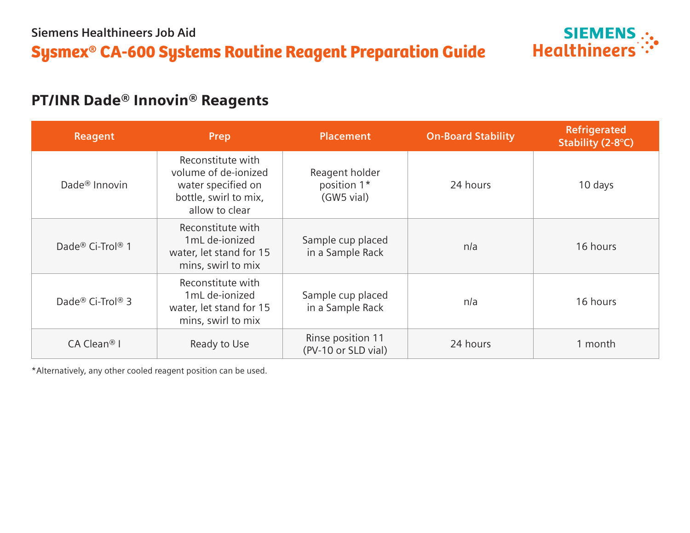

## PT/INR Dade® Innovin® Reagents

| Reagent                                  | Prep                                                                                                       | <b>Placement</b>                            | <b>On-Board Stability</b> | Refrigerated<br>Stability (2-8°C) |
|------------------------------------------|------------------------------------------------------------------------------------------------------------|---------------------------------------------|---------------------------|-----------------------------------|
| Dade <sup>®</sup> Innovin                | Reconstitute with<br>volume of de-jonized<br>water specified on<br>bottle, swirl to mix,<br>allow to clear | Reagent holder<br>position 1*<br>(GW5 vial) | 24 hours                  | 10 days                           |
| Dade <sup>®</sup> Ci-Trol <sup>®</sup> 1 | Reconstitute with<br>1mL de-ionized<br>water, let stand for 15<br>mins, swirl to mix                       | Sample cup placed<br>in a Sample Rack       | n/a                       | 16 hours                          |
| Dade® Ci-Trol® 3                         | Reconstitute with<br>1mL de-ionized<br>water, let stand for 15<br>mins, swirl to mix                       | Sample cup placed<br>in a Sample Rack       | n/a                       | 16 hours                          |
| $CA$ Clean <sup>®</sup> I                | Ready to Use                                                                                               | Rinse position 11<br>(PV-10 or SLD vial)    | 24 hours                  | 1 month                           |

\*Alternatively, any other cooled reagent position can be used.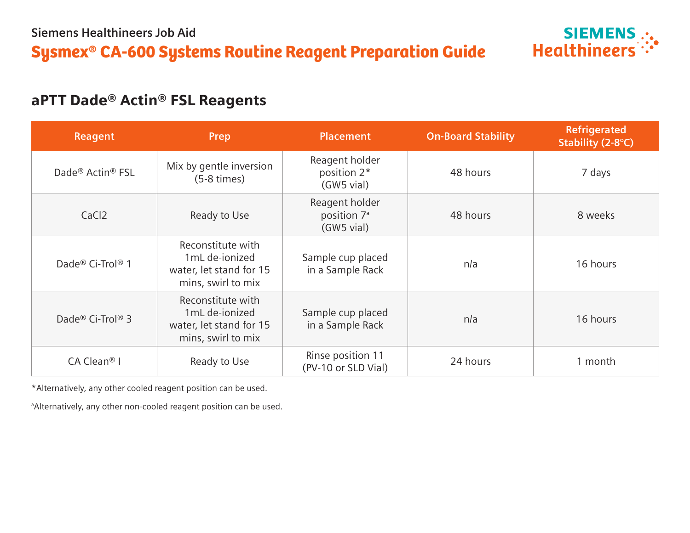

## aPTT Dade® Actin® FSL Reagents

| <b>Reagent</b>                           | Prep                                                                                 | <b>Placement</b>                                        | <b>On-Board Stability</b> | Refrigerated<br>Stability (2-8°C) |
|------------------------------------------|--------------------------------------------------------------------------------------|---------------------------------------------------------|---------------------------|-----------------------------------|
| Dade <sup>®</sup> Actin <sup>®</sup> FSL | Mix by gentle inversion<br>$(5-8 \times)$                                            | Reagent holder<br>position 2*<br>(GW5 vial)             | 48 hours                  | 7 days                            |
| CaCl <sub>2</sub>                        | Ready to Use                                                                         | Reagent holder<br>position 7 <sup>a</sup><br>(GW5 vial) | 48 hours                  | 8 weeks                           |
| Dade® Ci-Trol® 1                         | Reconstitute with<br>1mL de-ionized<br>water, let stand for 15<br>mins, swirl to mix | Sample cup placed<br>in a Sample Rack                   | n/a                       | 16 hours                          |
| Dade® Ci-Trol® 3                         | Reconstitute with<br>1mL de-ionized<br>water, let stand for 15<br>mins, swirl to mix | Sample cup placed<br>in a Sample Rack                   | n/a                       | 16 hours                          |
| $CA$ Clean <sup>®</sup> I                | Ready to Use                                                                         | Rinse position 11<br>(PV-10 or SLD Vial)                | 24 hours                  | 1 month                           |

\*Alternatively, any other cooled reagent position can be used.

a Alternatively, any other non-cooled reagent position can be used.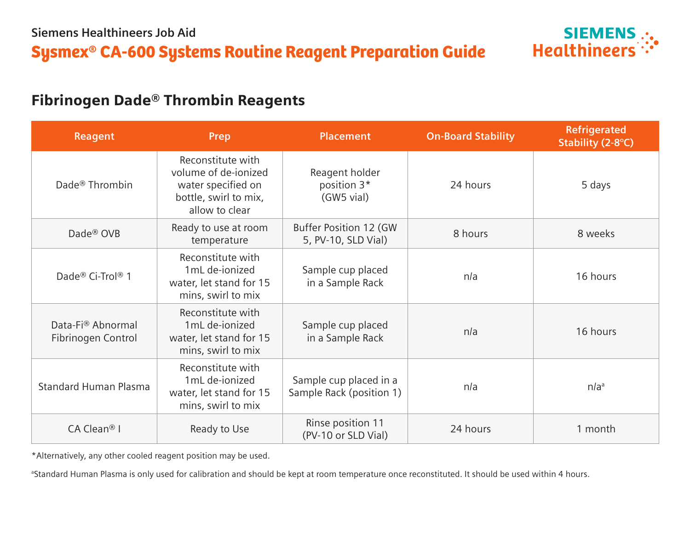

## Fibrinogen Dade® Thrombin Reagents

| <b>Reagent</b>                          | Prep                                                                                                       | <b>Placement</b>                                   | <b>On-Board Stability</b> | <b>Refrigerated</b><br>Stability (2-8°C) |
|-----------------------------------------|------------------------------------------------------------------------------------------------------------|----------------------------------------------------|---------------------------|------------------------------------------|
| Dade <sup>®</sup> Thrombin              | Reconstitute with<br>volume of de-ionized<br>water specified on<br>bottle, swirl to mix,<br>allow to clear | Reagent holder<br>position 3*<br>(GW5 vial)        | 24 hours                  | 5 days                                   |
| Dade <sup>®</sup> OVB                   | Ready to use at room<br>temperature                                                                        | Buffer Position 12 (GW<br>5, PV-10, SLD Vial)      | 8 hours                   | 8 weeks                                  |
| Dade® Ci-Trol® 1                        | Reconstitute with<br>1mL de-ionized<br>water, let stand for 15<br>mins, swirl to mix                       | Sample cup placed<br>in a Sample Rack              | n/a                       | 16 hours                                 |
| Data-Fi® Abnormal<br>Fibrinogen Control | Reconstitute with<br>1mL de-ionized<br>water, let stand for 15<br>mins, swirl to mix                       | Sample cup placed<br>in a Sample Rack              | n/a                       | 16 hours                                 |
| <b>Standard Human Plasma</b>            | Reconstitute with<br>1mL de-ionized<br>water, let stand for 15<br>mins, swirl to mix                       | Sample cup placed in a<br>Sample Rack (position 1) | n/a                       | n/a <sup>a</sup>                         |
| CA Clean <sup>®</sup> I                 | Ready to Use                                                                                               | Rinse position 11<br>(PV-10 or SLD Vial)           | 24 hours                  | 1 month                                  |

\*Alternatively, any other cooled reagent position may be used.

<sup>a</sup>Standard Human Plasma is only used for calibration and should be kept at room temperature once reconstituted. It should be used within 4 hours.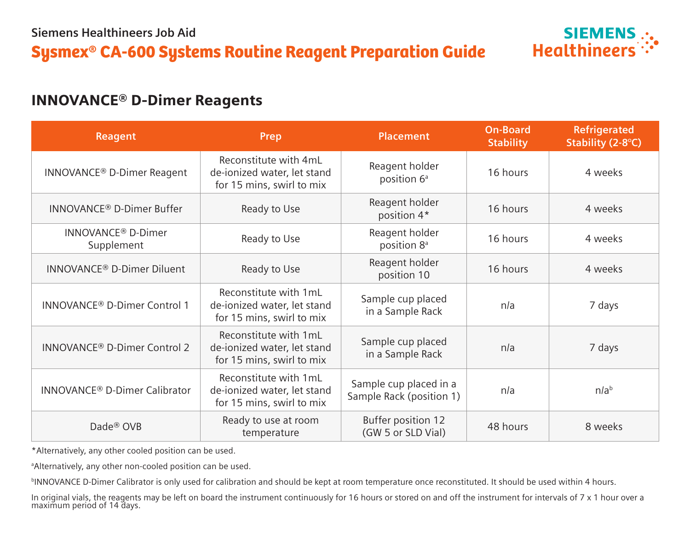

### INNOVANCE® D-Dimer Reagents

| <b>Reagent</b>                               | <b>Prep</b>                                                                       | <b>Placement</b>                                   | <b>On-Board</b><br><b>Stability</b> | <b>Refrigerated</b><br>Stability (2-8°C) |
|----------------------------------------------|-----------------------------------------------------------------------------------|----------------------------------------------------|-------------------------------------|------------------------------------------|
| <b>INNOVANCE<sup>®</sup> D-Dimer Reagent</b> | Reconstitute with 4mL<br>de-ionized water, let stand<br>for 15 mins, swirl to mix | Reagent holder<br>position 6 <sup>ª</sup>          | 16 hours                            | 4 weeks                                  |
| INNOVANCE <sup>®</sup> D-Dimer Buffer        | Ready to Use                                                                      | Reagent holder<br>position 4*                      | 16 hours                            | 4 weeks                                  |
| INNOVANCE <sup>®</sup> D-Dimer<br>Supplement | Ready to Use                                                                      | Reagent holder<br>position 8 <sup>ª</sup>          | 16 hours                            | 4 weeks                                  |
| <b>INNOVANCE® D-Dimer Diluent</b>            | Ready to Use                                                                      | Reagent holder<br>position 10                      | 16 hours                            | 4 weeks                                  |
| INNOVANCE <sup>®</sup> D-Dimer Control 1     | Reconstitute with 1mL<br>de-ionized water, let stand<br>for 15 mins, swirl to mix | Sample cup placed<br>in a Sample Rack              | n/a                                 | 7 days                                   |
| INNOVANCE® D-Dimer Control 2                 | Reconstitute with 1mL<br>de-ionized water, let stand<br>for 15 mins, swirl to mix | Sample cup placed<br>in a Sample Rack              | n/a                                 | 7 days                                   |
| <b>INNOVANCE® D-Dimer Calibrator</b>         | Reconstitute with 1mL<br>de-ionized water, let stand<br>for 15 mins, swirl to mix | Sample cup placed in a<br>Sample Rack (position 1) | n/a                                 | n/a <sup>b</sup>                         |
| Dade <sup>®</sup> OVB                        | Ready to use at room<br>temperature                                               | Buffer position 12<br>(GW 5 or SLD Vial)           | 48 hours                            | 8 weeks                                  |

\*Alternatively, any other cooled position can be used.

a Alternatively, any other non-cooled position can be used.

<sup>b</sup>INNOVANCE D-Dimer Calibrator is only used for calibration and should be kept at room temperature once reconstituted. It should be used within 4 hours.

In original vials, the reagents may be left on board the instrument continuously for 16 hours or stored on and off the instrument for intervals of 7 x 1 hour over a maximum period of 14 days.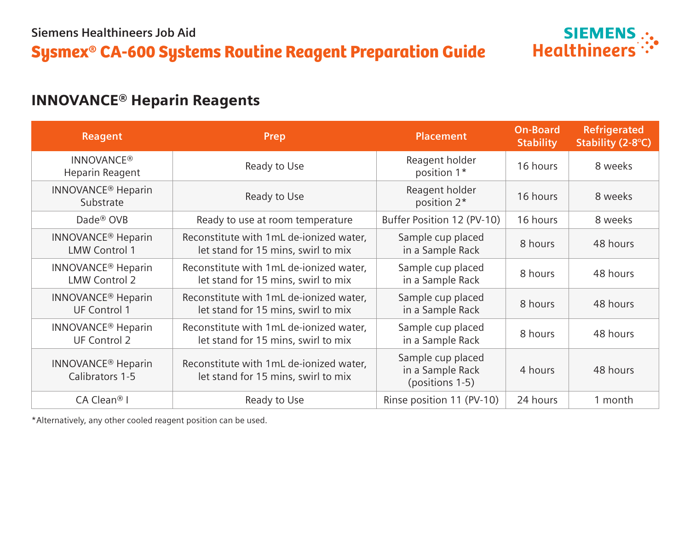# Sysmex® CA-600 Systems Routine Reagent Preparation Guide



## INNOVANCE® Heparin Reagents

| <b>Reagent</b>                                               | Prep                                                                           | <b>Placement</b>                                         | <b>On-Board</b><br><b>Stability</b> | <b>Refrigerated</b><br>Stability (2-8°C) |
|--------------------------------------------------------------|--------------------------------------------------------------------------------|----------------------------------------------------------|-------------------------------------|------------------------------------------|
| <b>INNOVANCE®</b><br>Heparin Reagent                         | Ready to Use                                                                   | Reagent holder<br>position 1*                            | 16 hours                            | 8 weeks                                  |
| <b>INNOVANCE<sup>®</sup></b> Heparin<br>Substrate            | Ready to Use                                                                   | Reagent holder<br>position 2*                            | 16 hours                            | 8 weeks                                  |
| Dade <sup>®</sup> OVB                                        | Ready to use at room temperature                                               | Buffer Position 12 (PV-10)                               | 16 hours                            | 8 weeks                                  |
| <b>INNOVANCE<sup>®</sup></b> Heparin<br><b>LMW Control 1</b> | Reconstitute with 1mL de-ionized water,<br>let stand for 15 mins, swirl to mix | Sample cup placed<br>in a Sample Rack                    | 8 hours                             | 48 hours                                 |
| <b>INNOVANCE<sup>®</sup></b> Heparin<br><b>LMW Control 2</b> | Reconstitute with 1mL de-ionized water,<br>let stand for 15 mins, swirl to mix | Sample cup placed<br>in a Sample Rack                    | 8 hours                             | 48 hours                                 |
| <b>INNOVANCE<sup>®</sup></b> Heparin<br><b>UF Control 1</b>  | Reconstitute with 1mL de-ionized water,<br>let stand for 15 mins, swirl to mix | Sample cup placed<br>in a Sample Rack                    | 8 hours                             | 48 hours                                 |
| <b>INNOVANCE<sup>®</sup></b> Heparin<br><b>UF Control 2</b>  | Reconstitute with 1mL de-ionized water,<br>let stand for 15 mins, swirl to mix | Sample cup placed<br>in a Sample Rack                    | 8 hours                             | 48 hours                                 |
| <b>INNOVANCE<sup>®</sup></b> Heparin<br>Calibrators 1-5      | Reconstitute with 1mL de-ionized water,<br>let stand for 15 mins, swirl to mix | Sample cup placed<br>in a Sample Rack<br>(positions 1-5) | 4 hours                             | 48 hours                                 |
| $CA$ Clean <sup>®</sup> I                                    | Ready to Use                                                                   | Rinse position 11 (PV-10)                                | 24 hours                            | 1 month                                  |

\*Alternatively, any other cooled reagent position can be used.